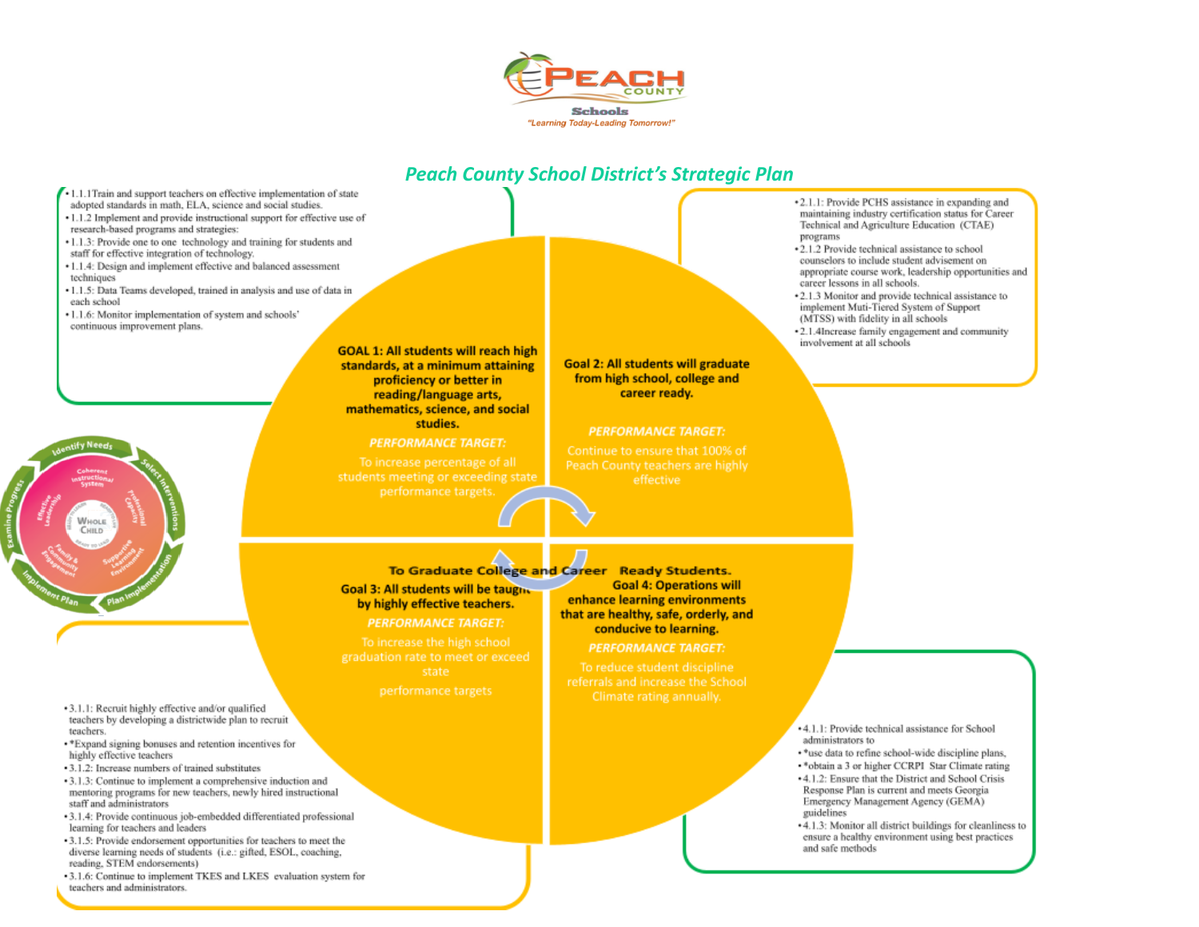



- 1.1.1 Train and support teachers on effective implementation of state adopted standards in math, ELA, science and social studies.
- 1.1.2 Implement and provide instructional support for effective use of research-based programs and strategies:
- 1.1.3: Provide one to one technology and training for students and staff for effective integration of technology.
- · 1.1.4: Design and implement effective and balanced assessment techniques
- · 1.1.5: Data Teams developed, trained in analysis and use of data in each school
- .1.1.6: Monitor implementation of system and schools' continuous improvement plans.



#### **PERFORMANCE TARGET:**

To increase percentage of all

**Goal 2: All students will graduate** from high school, college and career ready.

#### **PERFORMANCE TARGET:**

### To Graduate College and Career

Goal 3: All students will be taught by highly effective teachers. **PERFORMANCE TARGET:** 

graduation rate to meet or exceed

**Ready Students. Goal 4: Operations will** enhance learning environments that are healthy, safe, orderly, and conducive to learning.

**PERFORMANCE TARGET:** 

To reduce student discipline referrals and increase the School Climate rating annually.

- \*2.1.1: Provide PCHS assistance in expanding and maintaining industry certification status for Career Technical and Agriculture Education (CTAE) programs
- \*2.1.2 Provide technical assistance to school counselors to include student advisement on appropriate course work, leadership opportunities and career lessons in all schools.
- \*2.1.3 Monitor and provide technical assistance to implement Muti-Tiered System of Support (MTSS) with fidelity in all schools
- .2.1.4Increase family engagement and community involvement at all schools

- 4.1.1: Provide technical assistance for School administrators to
- ·\*use data to refine school-wide discipline plans,
- .\* obtain a 3 or higher CCRPI Star Climate rating
- 4.1.2: Ensure that the District and School Crisis Response Plan is current and meets Georgia Emergency Management Agency (GEMA) guidelines
- +4.1.3: Monitor all district buildings for cleanliness to ensure a healthy environment using best practices and safe methods
- 3.1.1: Recruit highly effective and/or qualified teachers by developing a districtwide plan to recruit teachers.
- \* Expand signing bonuses and retention incentives for highly effective teachers
- -3.1.2: Increase numbers of trained substitutes
- 3.1.3: Continue to implement a comprehensive induction and mentoring programs for new teachers, newly hired instructional staff and administrators
- · 3.1.4: Provide continuous job-embedded differentiated professional learning for teachers and leaders
- · 3.1.5: Provide endorsement opportunities for teachers to meet the diverse learning needs of students (i.e.: gifted, ESOL, coaching, reading, STEM endorsements)
- 3.1.6: Continue to implement TKES and LKES evaluation system for teachers and administrators.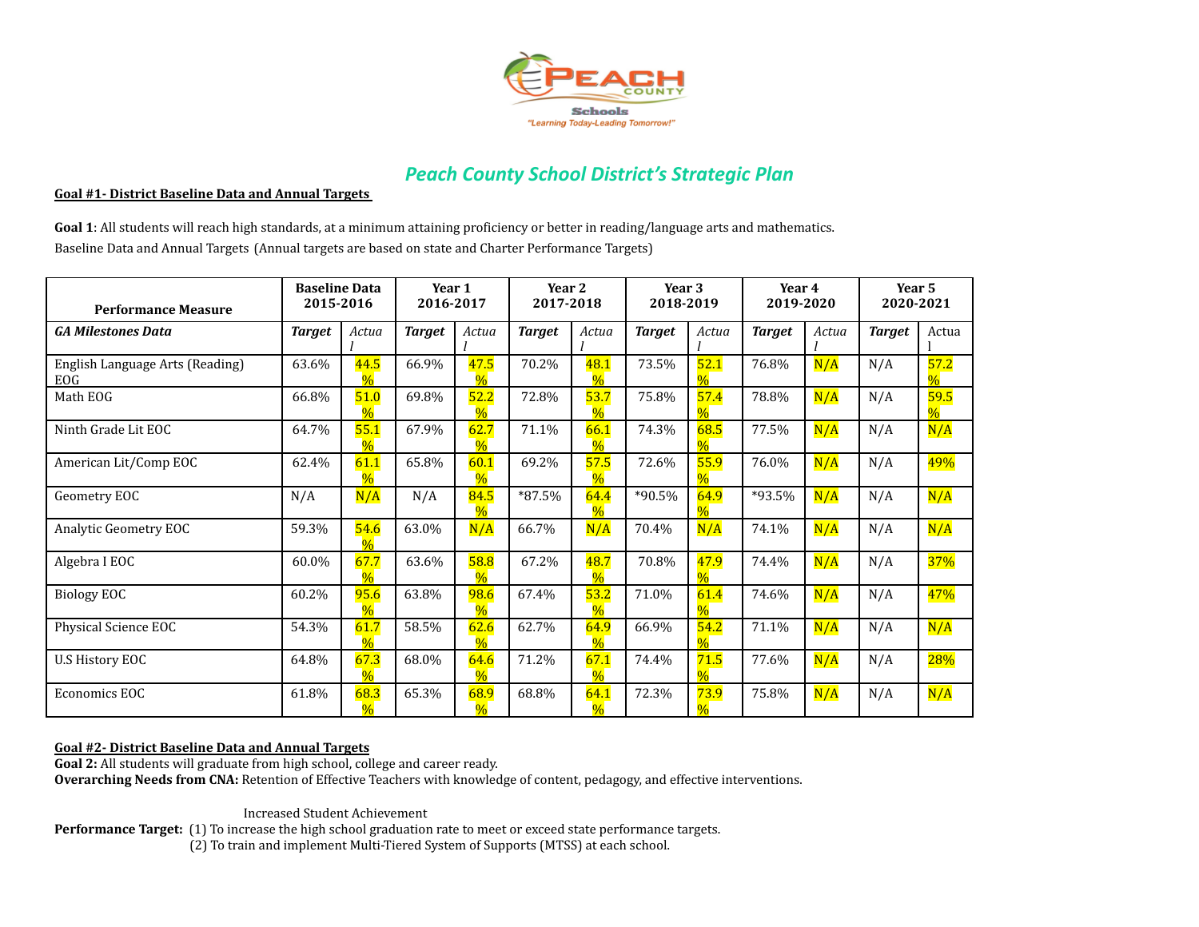

#### **Goal #1- District Baseline Data and Annual Targets**

**Goal 1**: All students will reach high standards, at a minimum attaining proficiency or better in reading/language arts and mathematics. Baseline Data and Annual Targets (Annual targets are based on state and Charter Performance Targets)

| <b>Performance Measure</b>             | <b>Baseline Data</b><br>2015-2016 |                       | Year 1<br>2016-2017 |                       | Year <sub>2</sub><br>2017-2018 |                       | Year 3<br>2018-2019 |       | Year 4<br>2019-2020 |       | Year 5<br>2020-2021 |                       |
|----------------------------------------|-----------------------------------|-----------------------|---------------------|-----------------------|--------------------------------|-----------------------|---------------------|-------|---------------------|-------|---------------------|-----------------------|
| <b>GA Milestones Data</b>              | <b>Target</b>                     | Actua                 | <b>Target</b>       | Actua                 | <b>Target</b>                  | Actua                 | <b>Target</b>       | Actua | <b>Target</b>       | Actua | <b>Target</b>       | Actua                 |
| English Language Arts (Reading)<br>EOG | 63.6%                             | 44.5<br>$\frac{0}{0}$ | 66.9%               | 47.5<br>$\frac{0}{0}$ | 70.2%                          | 48.1<br>$\frac{0}{6}$ | 73.5%               | 52.1  | 76.8%               | N/A   | N/A                 | 57.2<br>$\frac{0}{6}$ |
| Math EOG                               | 66.8%                             | 51.0<br>$\frac{0}{0}$ | 69.8%               | 52.2                  | 72.8%                          | 53.7<br>$\frac{0}{6}$ | 75.8%               | 57.4  | 78.8%               | N/A   | N/A                 | 59.5                  |
| Ninth Grade Lit EOC                    | 64.7%                             | 55.1<br>$\frac{0}{6}$ | 67.9%               | 62.7<br>$\frac{0}{6}$ | 71.1%                          | 66.1<br>$\frac{0}{6}$ | 74.3%               | 68.5  | 77.5%               | N/A   | N/A                 | N/A                   |
| American Lit/Comp EOC                  | 62.4%                             | 61.1<br>$\frac{0}{6}$ | 65.8%               | 60.1<br>$\frac{0}{0}$ | 69.2%                          | 57.5<br>$\frac{0}{6}$ | 72.6%               | 55.9  | 76.0%               | N/A   | N/A                 | 49%                   |
| Geometry EOC                           | N/A                               | N/A                   | N/A                 | 84.5<br>$\frac{0}{0}$ | $*87.5%$                       | 64.4<br>$\frac{0}{6}$ | *90.5%              | 64.9  | *93.5%              | N/A   | N/A                 | N/A                   |
| Analytic Geometry EOC                  | 59.3%                             | 54.6<br>$\frac{0}{6}$ | 63.0%               | N/A                   | 66.7%                          | N/A                   | 70.4%               | N/A   | 74.1%               | N/A   | N/A                 | N/A                   |
| Algebra I EOC                          | 60.0%                             | 67.7<br>$\%$          | 63.6%               | 58.8<br>$\frac{0}{0}$ | 67.2%                          | 48.7<br>$\frac{0}{6}$ | 70.8%               | 47.9  | 74.4%               | N/A   | N/A                 | 37%                   |
| <b>Biology EOC</b>                     | 60.2%                             | 95.6<br>$\%$          | 63.8%               | 98.6<br>$\frac{0}{0}$ | 67.4%                          | 53.2<br>$\frac{0}{6}$ | 71.0%               | 61.4  | 74.6%               | N/A   | N/A                 | 47%                   |
| Physical Science EOC                   | 54.3%                             | 61.7                  | 58.5%               | 62.6                  | 62.7%                          | 64.9<br>$\frac{0}{6}$ | 66.9%               | 54.2  | 71.1%               | N/A   | N/A                 | N/A                   |
| <b>U.S History EOC</b>                 | 64.8%                             | 67.3<br>$\frac{0}{6}$ | 68.0%               | 64.6<br>$\frac{0}{0}$ | 71.2%                          | 67.1<br>$\frac{0}{6}$ | 74.4%               | 71.5  | 77.6%               | N/A   | N/A                 | 28%                   |
| Economics EOC                          | 61.8%                             | 68.3<br>$\frac{0}{6}$ | 65.3%               | 68.9<br>$\frac{0}{0}$ | 68.8%                          | 64.1<br>$\frac{0}{0}$ | 72.3%               | 73.9  | 75.8%               | N/A   | N/A                 | N/A                   |

#### **Goal #2- District Baseline Data and Annual Targets**

**Goal 2:** All students will graduate from high school, college and career ready. **Overarching Needs from CNA:** Retention of Effective Teachers with knowledge of content, pedagogy, and effective interventions.

Increased Student Achievement

**Performance Target:** (1) To increase the high school graduation rate to meet or exceed state performance targets. (2) To train and implement Multi-Tiered System of Supports (MTSS) at each school.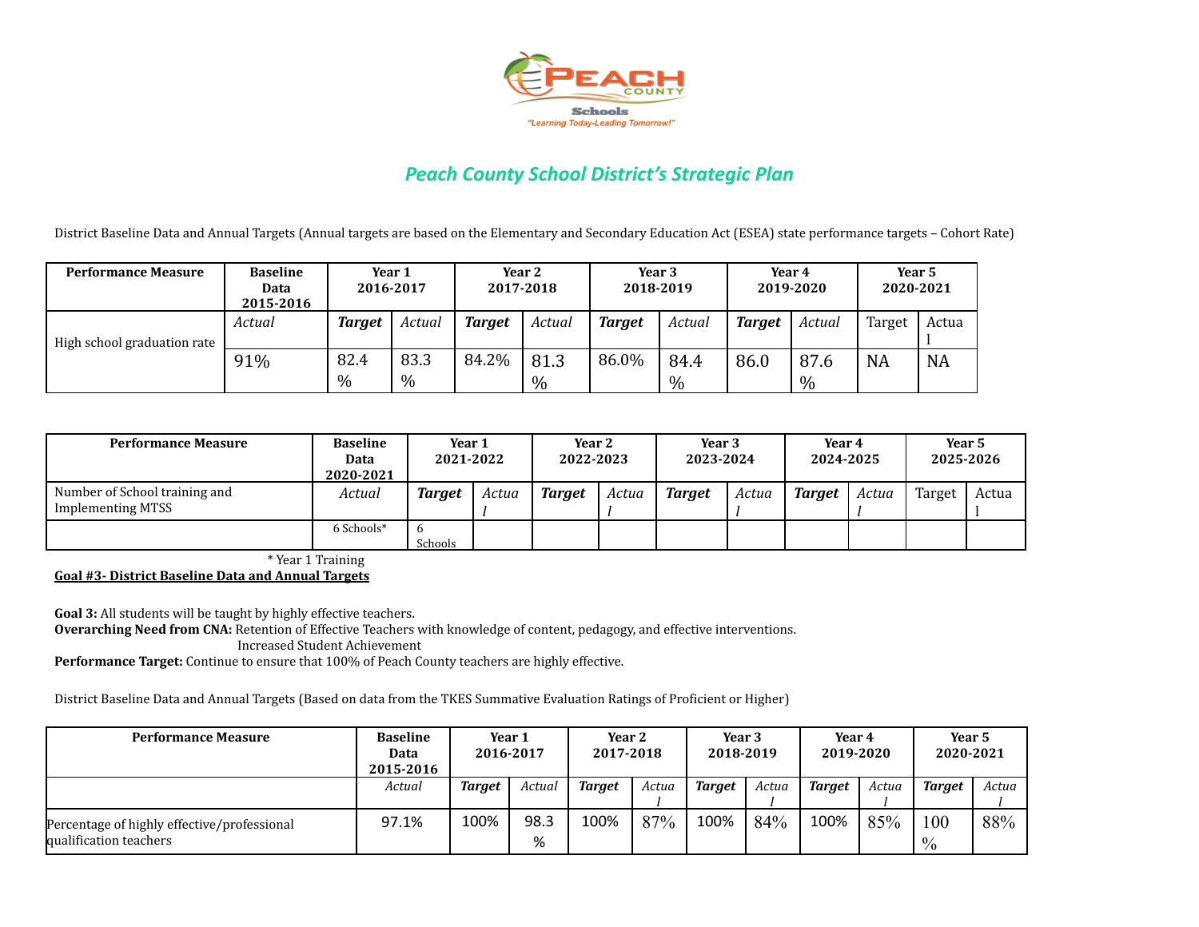

District Baseline Data and Annual Targets (Annual targets are based on the Elementary and Secondary Education Act (ESEA) state performance targets – Cohort Rate)

| <b>Performance Measure</b>  | <b>Baseline</b><br>Data<br>2015-2016 | Year 1<br>2016-2017 |              | Year 2<br>2017-2018 |                       | Year 3<br>2018-2019 |              | Year 4<br>2019-2020 |              | Year 5<br>2020-2021 |           |
|-----------------------------|--------------------------------------|---------------------|--------------|---------------------|-----------------------|---------------------|--------------|---------------------|--------------|---------------------|-----------|
| High school graduation rate | Actual                               | Target              | Actual       | <b>Target</b>       | Actual                | <b>Target</b>       | Actual       | <b>Target</b>       | Actual       | Target              | Actua     |
|                             | 91%                                  | 82.4<br>$\%$        | 83.3<br>$\%$ | 84.2%               | 81.3<br>$\frac{0}{0}$ | 86.0%               | 84.4<br>$\%$ | 86.0                | 87.6<br>$\%$ | <b>NA</b>           | <b>NA</b> |

| <b>Performance Measure</b>                                | <b>Baseline</b><br>Data<br>2020-2021 | Year 1<br>2021-2022 |       | Year 2<br>2022-2023 |       | Year 3<br>2023-2024 |       | Year 4<br>2024-2025 |       | Year 5<br>2025-2026 |       |
|-----------------------------------------------------------|--------------------------------------|---------------------|-------|---------------------|-------|---------------------|-------|---------------------|-------|---------------------|-------|
| Number of School training and<br><b>Implementing MTSS</b> | Actual                               | Target              | Actua | <b>Target</b>       | Actua | <b>Target</b>       | Actua | <b>Target</b>       | Actua | Target              | Actua |
|                                                           | 6 Schools*                           | -6<br>Schools       |       |                     |       |                     |       |                     |       |                     |       |

\* Year 1 Training

**Goal #3- District Baseline Data and Annual Targets**

**Goal 3:** All students will be taught by highly effective teachers. **Overarching Need from CNA:** Retention of Effective Teachers with knowledge of content, pedagogy, and effective interventions. Increased Student Achievement

**Performance Target:** Continue to ensure that 100% of Peach County teachers are highly effective.

District Baseline Data and Annual Targets (Based on data from the TKES Summative Evaluation Ratings of Proficient or Higher)

| <b>Performance Measure</b>                                            | <b>Baseline</b><br>Data<br>2015-2016 | Year 1<br>2016-2017 |           | Year 2<br>2017-2018 |       | Year 3<br>2018-2019 |       | Year 4<br>2019-2020 |       | Year 5<br>2020-2021  |       |
|-----------------------------------------------------------------------|--------------------------------------|---------------------|-----------|---------------------|-------|---------------------|-------|---------------------|-------|----------------------|-------|
|                                                                       | Actual                               | <b>Target</b>       | Actual    | <b>Target</b>       | Actua | <b>Target</b>       | Actua | <b>Target</b>       | Actua | <b>Target</b>        | Actua |
| Percentage of highly effective/professional<br>qualification teachers | 97.1%                                | 100%                | 98.3<br>% | 100%                | 87%   | 100%                | 84%   | 100%                | 85%   | 100<br>$\frac{0}{0}$ | 88%   |